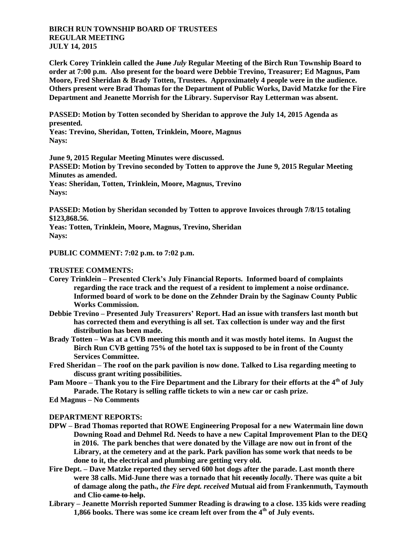## **BIRCH RUN TOWNSHIP BOARD OF TRUSTEES REGULAR MEETING JULY 14, 2015**

**Clerk Corey Trinklein called the June** *July* **Regular Meeting of the Birch Run Township Board to order at 7:00 p.m. Also present for the board were Debbie Trevino, Treasurer; Ed Magnus, Pam Moore, Fred Sheridan & Brady Totten, Trustees. Approximately 4 people were in the audience. Others present were Brad Thomas for the Department of Public Works, David Matzke for the Fire Department and Jeanette Morrish for the Library. Supervisor Ray Letterman was absent.**

**PASSED: Motion by Totten seconded by Sheridan to approve the July 14, 2015 Agenda as presented.**

**Yeas: Trevino, Sheridan, Totten, Trinklein, Moore, Magnus Nays:** 

**June 9, 2015 Regular Meeting Minutes were discussed. PASSED: Motion by Trevino seconded by Totten to approve the June 9, 2015 Regular Meeting Minutes as amended. Yeas: Sheridan, Totten, Trinklein, Moore, Magnus, Trevino Nays:** 

**PASSED: Motion by Sheridan seconded by Totten to approve Invoices through 7/8/15 totaling \$123,868.56.**

**Yeas: Totten, Trinklein, Moore, Magnus, Trevino, Sheridan Nays:** 

**PUBLIC COMMENT: 7:02 p.m. to 7:02 p.m.**

**TRUSTEE COMMENTS:**

- **Corey Trinklein – Presented Clerk's July Financial Reports. Informed board of complaints regarding the race track and the request of a resident to implement a noise ordinance. Informed board of work to be done on the Zehnder Drain by the Saginaw County Public Works Commission.**
- **Debbie Trevino – Presented July Treasurers' Report. Had an issue with transfers last month but has corrected them and everything is all set. Tax collection is under way and the first distribution has been made.**
- **Brady Totten – Was at a CVB meeting this month and it was mostly hotel items. In August the Birch Run CVB getting 75% of the hotel tax is supposed to be in front of the County Services Committee.**
- **Fred Sheridan – The roof on the park pavilion is now done. Talked to Lisa regarding meeting to discuss grant writing possibilities.**
- **Pam Moore – Thank you to the Fire Department and the Library for their efforts at the 4th of July Parade. The Rotary is selling raffle tickets to win a new car or cash prize.**
- **Ed Magnus – No Comments**

## **DEPARTMENT REPORTS:**

- **DPW – Brad Thomas reported that ROWE Engineering Proposal for a new Watermain line down Downing Road and Dehmel Rd. Needs to have a new Capital Improvement Plan to the DEQ in 2016. The park benches that were donated by the Village are now out in front of the Library, at the cemetery and at the park. Park pavilion has some work that needs to be done to it, the electrical and plumbing are getting very old.**
- **Fire Dept. – Dave Matzke reported they served 600 hot dogs after the parade. Last month there were 38 calls. Mid-June there was a tornado that hit recently** *locally***. There was quite a bit of damage along the path.,** *the Fire dept. received* **Mutual aid from Frankenmuth, Taymouth and Clio came to help.**
- **Library – Jeanette Morrish reported Summer Reading is drawing to a close. 135 kids were reading 1,866 books. There was some ice cream left over from the 4th of July events.**